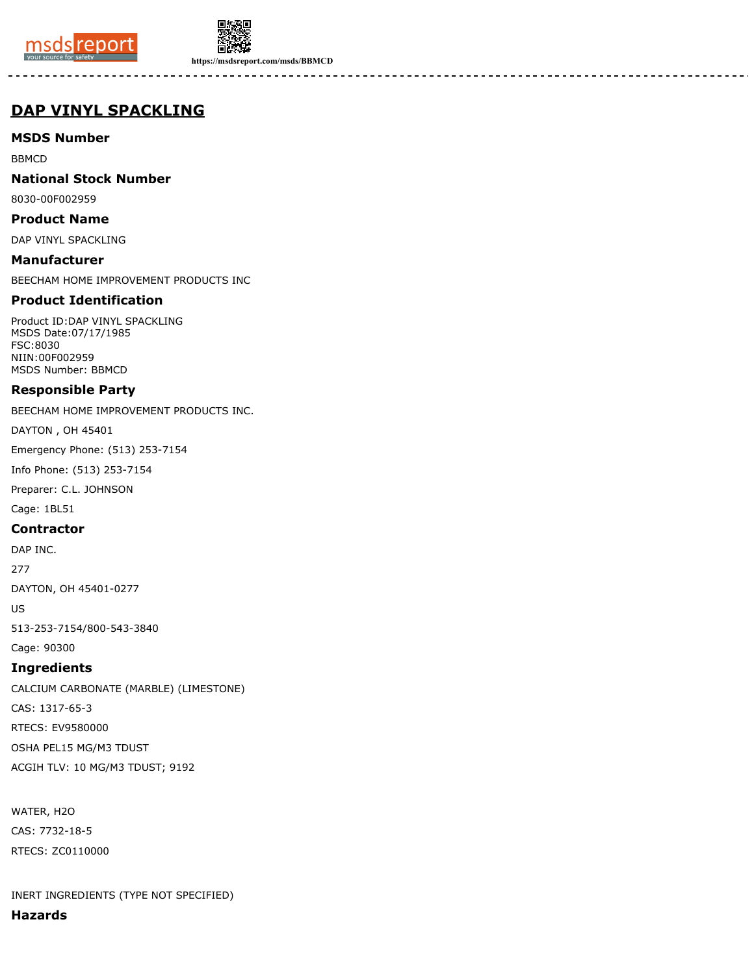



**https://msdsreport.com/msds/BBMCD**

# **DAP VINYL SPACKLING**

**MSDS Number**

BBMCD

**National Stock Number**

8030-00F002959

**Product Name**

DAP VINYL SPACKLING

**Manufacturer** BEECHAM HOME IMPROVEMENT PRODUCTS INC

## **Product Identification**

Product ID:DAP VINYL SPACKLING MSDS Date:07/17/1985 FSC:8030 NIIN:00F002959 MSDS Number: BBMCD

## **Responsible Party**

BEECHAM HOME IMPROVEMENT PRODUCTS INC.

DAYTON , OH 45401

Emergency Phone: (513) 253-7154

Info Phone: (513) 253-7154

Preparer: C.L. JOHNSON

Cage: 1BL51

#### **Contractor**

DAP INC.

277

DAYTON, OH 45401-0277

US

513-253-7154/800-543-3840

Cage: 90300

# **Ingredients**

CALCIUM CARBONATE (MARBLE) (LIMESTONE) CAS: 1317-65-3 RTECS: EV9580000 OSHA PEL15 MG/M3 TDUST ACGIH TLV: 10 MG/M3 TDUST; 9192

WATER, H2O CAS: 7732-18-5 RTECS: ZC0110000

INERT INGREDIENTS (TYPE NOT SPECIFIED)

**Hazards**